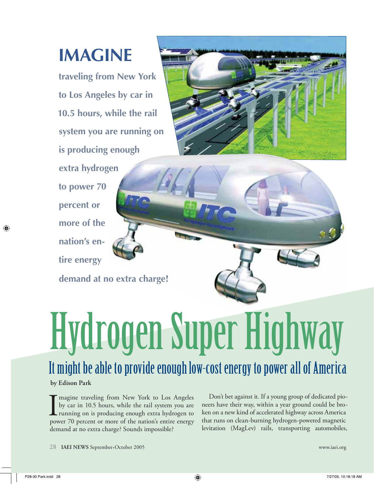## **IMAGINE**

**traveling from New York to Los Angeles by car in 10.5 hours, while the rail system you are running on is producing enough extra hydrogen to power 70 percent or more of the nation's entire energy** 

**demand at no extra charge!**

# Hydrogen Super Highway

## It might be able to provide enough low-cost energy to power all of America

**by Edison Park**

I magine traveling from New York to Los Angeles by car in 10.5 hours, while the rail system you are running on is producing enough extra hydrogen to power 70 percent or more of the nation's entire energy demand at no extra charge? Sounds impossible?

Don't bet against it. If a young group of dedicated pioneers have their way, within a year ground could be broken on a new kind of accelerated highway across America that runs on clean-burning hydrogen-powered magnetic levitation (MagLev) rails, transporting automobiles,

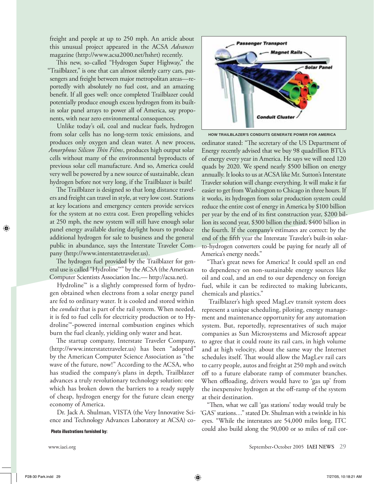freight and people at up to 250 mph. An article about this unusual project appeared in the ACSA *Advances* magazine (http://www.acsa2000.net/hshrt) recently.

This new, so-called "Hydrogen Super Highway," the "Trailblazer," is one that can almost silently carry cars, passengers and freight between major metropolitan areas—reportedly with absolutely no fuel cost, and an amazing benefit. If all goes well: once completed Trailblazer could potentially produce enough excess hydrogen from its builtin solar panel arrays to power all of America, say proponents, with near zero environmental consequences.

Unlike today's oil, coal and nuclear fuels, hydrogen from solar cells has no long-term toxic emissions, and produces only oxygen and clean water. A new process, *Amorphous Silicon Thin Films*, produces high output solar cells without many of the environmental byproducts of previous solar cell manufacture. And so, America could very well be powered by a new source of sustainable, clean hydrogen before not very long, if the Trailblazer is built!

The Trailblazer is designed so that long distance travelers and freight can travel in style, at very low cost. Stations at key locations and emergency centers provide services for the system at no extra cost. Even propelling vehicles at 250 mph, the new system will still have enough solar panel energy available during daylight hours to produce additional hydrogen for sale to business and the general public in abundance, says the Interstate Traveler Company (http://www.interstatetraveler.us).

The hydrogen fuel provided by the Trailblazer for general use is called "Hydroline™" by the ACSA (the American Computer Scientists Association Inc.— http://acsa.net).

Hydroline™ is a slightly compressed form of hydrogen obtained when electrons from a solar energy panel are fed to ordinary water. It is cooled and stored within the *conduit* that is part of the rail system. When needed, it is fed to fuel cells for electricity production or to Hydroline™-powered internal combustion engines which burn the fuel cleanly, yielding only water and heat.

The startup company, Interstate Traveler Company, (http://www.interstatetraveler.us) has been "adopted" by the American Computer Science Association as "the wave of the future, now!" According to the ACSA, who has studied the company's plans in depth, Trailblazer advances a truly revolutionary technology solution: one which has broken down the barriers to a ready supply of cheap, hydrogen energy for the future clean energy economy of America.

Dr. Jack A. Shulman, VISTA (the Very Innovative Science and Technology Advances Laboratory at ACSA) co-





ordinator stated: "The secretary of the US Department of Energy recently advised that we buy 98 quadrillion BTUs of energy every year in America. He says we will need 120 quads by 2020. We spend nearly \$500 billion on energy annually. It looks to us at ACSA like Mr. Sutton's Interstate Traveler solution will change everything. It will make it far easier to get from Washington to Chicago in three hours. If it works, its hydrogen from solar production system could reduce the entire cost of energy in America by \$100 billion per year by the end of its first construction year, \$200 billion its second year, \$300 billion the third, \$400 billion in the fourth. If the company's estimates are correct: by the end of the fifth year the Interstate Traveler's built-in solarto-hydrogen converters could be paying for nearly all of America's energy needs."

"That's great news for America! It could spell an end to dependency on non-sustainable energy sources like oil and coal, and an end to our dependency on foreign fuel, while it can be redirected to making lubricants, chemicals and plastics."

Trailblazer's high speed MagLev transit system does represent a unique scheduling, piloting, energy management and maintenance opportunity for any automation system. But, reportedly, representatives of such major companies as Sun Microsystems and Microsoft appear to agree that it could route its rail cars, in high volume and at high velocity, about the same way the Internet schedules itself. That would allow the MagLev rail cars to carry people, autos and freight at 250 mph and switch off to a future elaborate ramp of commuter branches. When offloading, drivers would have to 'gas up' from the inexpensive hydrogen at the off -ramp of the system at their destination.

"Then, what we call 'gas stations' today would truly be 'GAS' stations…" stated Dr. Shulman with a twinkle in his eyes. "While the interstates are 54,000 miles long, ITC **Photo illustrations furnished by:** could also build along the 90,000 or so miles of rail cor